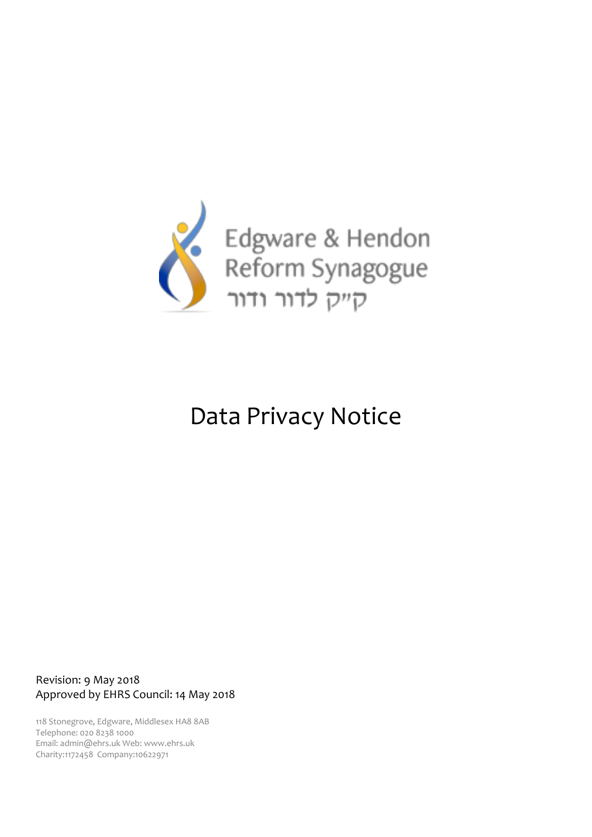

# Data Privacy Notice

Revision: 9 May 2018 Approved by EHRS Council: 14 May 2018

118 Stonegrove, Edgware, Middlesex HA8 8AB Telephone: 020 8238 1000 Email: admin@ehrs.uk Web: www.ehrs.uk Charity:1172458 Company:10622971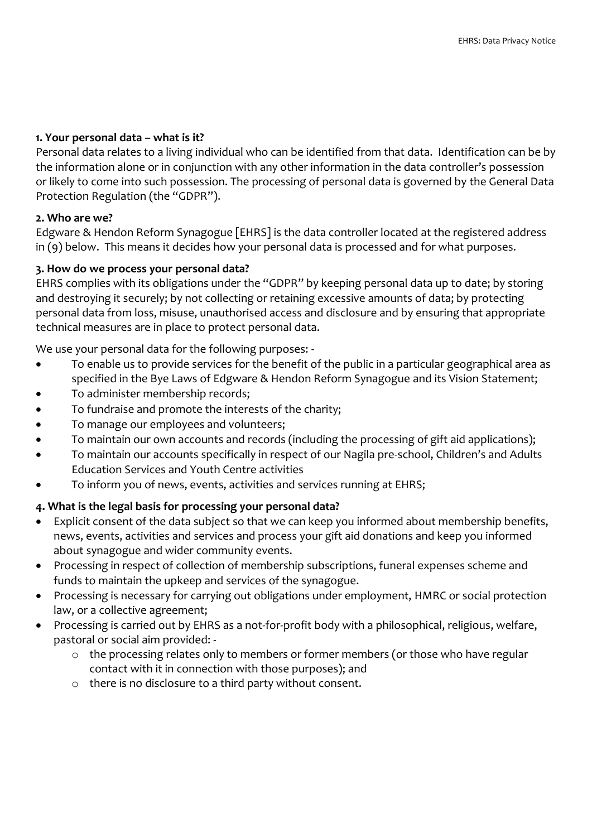## **1. Your personal data – what is it?**

Personal data relates to a living individual who can be identified from that data. Identification can be by the information alone or in conjunction with any other information in the data controller's possession or likely to come into such possession. The processing of personal data is governed by the General Data Protection Regulation (the "GDPR").

## **2. Who are we?**

Edgware & Hendon Reform Synagogue [EHRS] is the data controller located at the registered address in (9) below. This means it decides how your personal data is processed and for what purposes.

## **3. How do we process your personal data?**

EHRS complies with its obligations under the "GDPR" by keeping personal data up to date; by storing and destroying it securely; by not collecting or retaining excessive amounts of data; by protecting personal data from loss, misuse, unauthorised access and disclosure and by ensuring that appropriate technical measures are in place to protect personal data.

We use your personal data for the following purposes: -

- To enable us to provide services for the benefit of the public in a particular geographical area as specified in the Bye Laws of Edgware & Hendon Reform Synagogue and its Vision Statement;
- To administer membership records;
- To fundraise and promote the interests of the charity;
- To manage our employees and volunteers;
- To maintain our own accounts and records (including the processing of gift aid applications);
- To maintain our accounts specifically in respect of our Nagila pre-school, Children's and Adults Education Services and Youth Centre activities
- To inform you of news, events, activities and services running at EHRS;

## **4. What is the legal basis for processing your personal data?**

- Explicit consent of the data subject so that we can keep you informed about membership benefits, news, events, activities and services and process your gift aid donations and keep you informed about synagogue and wider community events.
- Processing in respect of collection of membership subscriptions, funeral expenses scheme and funds to maintain the upkeep and services of the synagogue.
- Processing is necessary for carrying out obligations under employment, HMRC or social protection law, or a collective agreement;
- Processing is carried out by EHRS as a not-for-profit body with a philosophical, religious, welfare, pastoral or social aim provided:
	- o the processing relates only to members or former members (or those who have regular contact with it in connection with those purposes); and
	- o there is no disclosure to a third party without consent.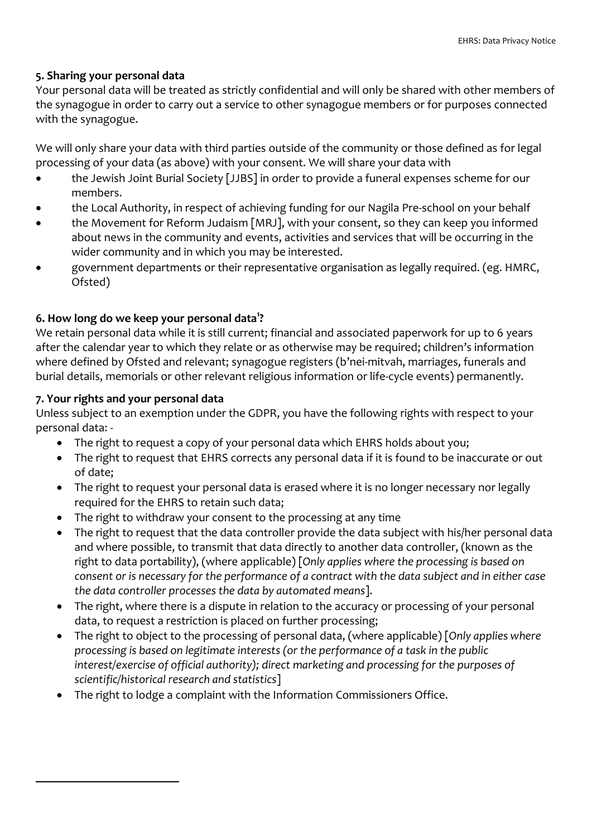#### **5. Sharing your personal data**

Your personal data will be treated as strictly confidential and will only be shared with other members of the synagogue in order to carry out a service to other synagogue members or for purposes connected with the synagogue.

We will only share your data with third parties outside of the community or those defined as for legal processing of your data (as above) with your consent. We will share your data with

- the Jewish Joint Burial Society [JJBS] in order to provide a funeral expenses scheme for our members.
- the Local Authority, in respect of achieving funding for our Nagila Pre-school on your behalf
- the Movement for Reform Judaism [MRJ], with your consent, so they can keep you informed about news in the community and events, activities and services that will be occurring in the wider community and in which you may be interested.
- x government departments or their representative organisation as legally required. (eg. HMRC, Ofsted)

# **6. How long do we keep your personal data<sup>1</sup> ?**

We retain personal data while it is still current; financial and associated paperwork for up to 6 years after the calendar year to which they relate or as otherwise may be required; children's information where defined by Ofsted and relevant; synagogue registers (b'nei-mitvah, marriages, funerals and burial details, memorials or other relevant religious information or life-cycle events) permanently.

## **7. Your rights and your personal data**

1

Unless subject to an exemption under the GDPR, you have the following rights with respect to your personal data: -

- The right to request a copy of your personal data which EHRS holds about you;
- The right to request that EHRS corrects any personal data if it is found to be inaccurate or out of date;
- The right to request your personal data is erased where it is no longer necessary nor legally required for the EHRS to retain such data;
- The right to withdraw your consent to the processing at any time
- The right to request that the data controller provide the data subject with his/her personal data and where possible, to transmit that data directly to another data controller, (known as the right to data portability), (where applicable) [*Only applies where the processing is based on consent or is necessary for the performance of a contract with the data subject and in either case the data controller processes the data by automated means*].
- The right, where there is a dispute in relation to the accuracy or processing of your personal data, to request a restriction is placed on further processing;
- x The right to object to the processing of personal data, (where applicable) [*Only applies where processing is based on legitimate interests (or the performance of a task in the public interest/exercise of official authority); direct marketing and processing for the purposes of scientific/historical research and statistics*]
- The right to lodge a complaint with the Information Commissioners Office.